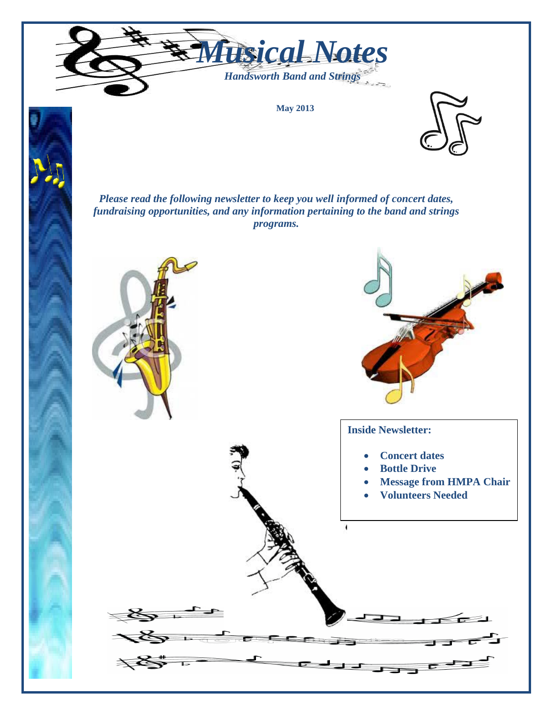

**May 2013**



*Please read the following newsletter to keep you well informed of concert dates, fundraising opportunities, and any information pertaining to the band and strings programs.*

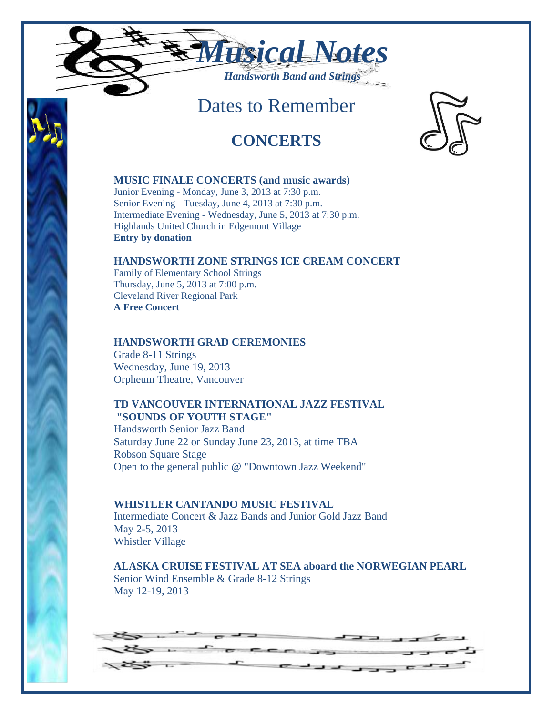

# Dates to Remember

## **CONCERTS**



Junior Evening - Monday, June 3, 2013 at 7:30 p.m. Senior Evening - Tuesday, June 4, 2013 at 7:30 p.m. Intermediate Evening - Wednesday, June 5, 2013 at 7:30 p.m. Highlands United Church in Edgemont Village **Entry by donation** 

### **HANDSWORTH ZONE STRINGS ICE CREAM CONCERT**

Family of Elementary School Strings Thursday, June 5, 2013 at 7:00 p.m. Cleveland River Regional Park **A Free Concert** 

### **HANDSWORTH GRAD CEREMONIES**

Grade 8-11 Strings Wednesday, June 19, 2013 Orpheum Theatre, Vancouver

### **TD VANCOUVER INTERNATIONAL JAZZ FESTIVAL "SOUNDS OF YOUTH STAGE"**

Handsworth Senior Jazz Band Saturday June 22 or Sunday June 23, 2013, at time TBA Robson Square Stage Open to the general public @ "Downtown Jazz Weekend"

**WHISTLER CANTANDO MUSIC FESTIVAL**  Intermediate Concert & Jazz Bands and Junior Gold Jazz Band May 2-5, 2013 Whistler Village

**ALASKA CRUISE FESTIVAL AT SEA aboard the NORWEGIAN PEARL** Senior Wind Ensemble & Grade 8-12 Strings May 12-19, 2013

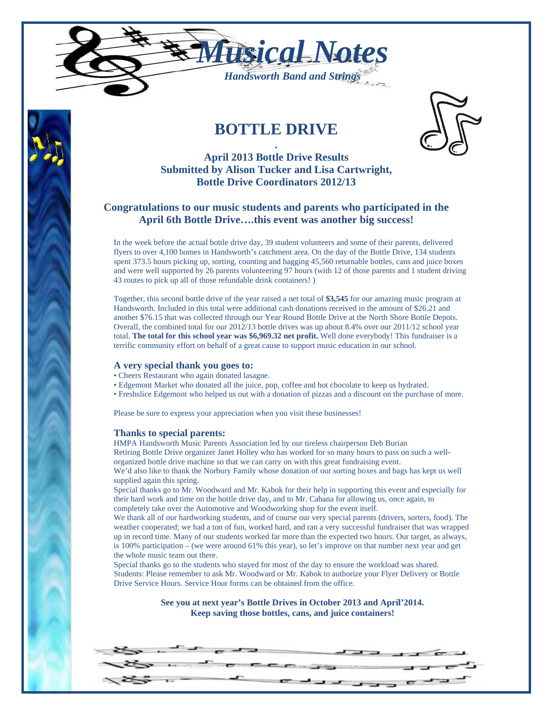

## **BOTTLE DRIVE**



#### **. April 2013 Bottle Drive Results Submitted by Alison Tucker and Lisa Cartwright, Bottle Drive Coordinators 2012/13**

#### **Congratulations to our music students and parents who participated in the April 6th Bottle Drive….this event was another big success!**

In the week before the actual bottle drive day, 39 student volunteers and some of their parents, delivered flyers to over 4,100 homes in Handsworth's catchment area. On the day of the Bottle Drive, 134 students spent 373.5 hours picking up, sorting, counting and bagging 45,560 returnable bottles, cans and juice boxes and were well supported by 26 parents volunteering 97 hours (with 12 of those parents and 1 student driving 43 routes to pick up all of those refundable drink containers! )

Together, this second bottle drive of the year raised a net total of **\$3,545** for our amazing music program at Handsworth. Included in this total were additional cash donations received in the amount of \$26.21 and another \$76.15 that was collected through our Year Round Bottle Drive at the North Shore Bottle Depots. Overall, the combined total for our 2012/13 bottle drives was up about 8.4% over our 2011/12 school year total. **The total for this school year was \$6,969.32 net profit.** Well done everybody! This fundraiser is a terrific community effort on behalf of a great cause to support music education in our school.

#### **A very special thank you goes to:**

- Cheers Restaurant who again donated lasagne.
- Edgemont Market who donated all the juice, pop, coffee and hot chocolate to keep us hydrated.
- Freshslice Edgemont who helped us out with a donation of pizzas and a discount on the purchase of more.

Please be sure to express your appreciation when you visit these businesses!

#### **Thanks to special parents:**

HMPA Handsworth Music Parents Association led by our tireless chairperson Deb Burian Retiring Bottle Drive organizer Janet Holley who has worked for so many hours to pass on such a wellorganized bottle drive machine so that we can carry on with this great fundraising event.

We'd also like to thank the Norbury Family whose donation of our sorting boxes and bags has kept us well supplied again this spring.

Special thanks go to Mr. Woodward and Mr. Kabok for their help in supporting this event and especially for their hard work and time on the bottle drive day, and to Mr. Cabana for allowing us, once again, to completely take over the Automotive and Woodworking shop for the event itself.

We thank all of our hardworking students, and of course our very special parents (drivers, sorters, food). The weather cooperated; we had a ton of fun, worked hard, and ran a very successful fundraiser that was wrapped up in record time. Many of our students worked far more than the expected two hours. Our target, as always, is 100% participation – (we were around 61% this year), so let's improve on that number next year and get the whole music team out there.

Special thanks go to the students who stayed for most of the day to ensure the workload was shared. Students: Please remember to ask Mr. Woodward or Mr. Kabok to authorize your Flyer Delivery or Bottle Drive Service Hours. Service Hour forms can be obtained from the office.

> **See you at next year's Bottle Drives in October 2013 and April'2014. Keep saving those bottles, cans, and juice containers!**